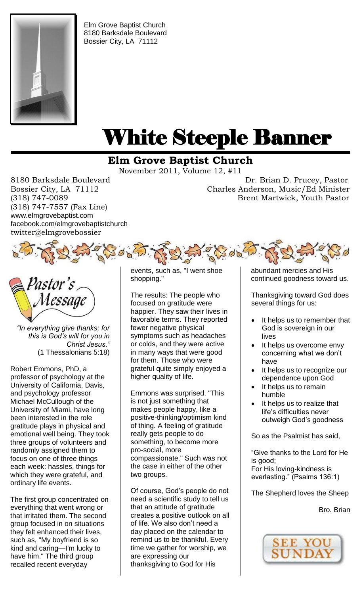

Elm Grove Baptist Church 8180 Barksdale Boulevard Bossier City, LA 71112

# White Steeple Banner ı

## **Elm Grove Baptist Church**

November 2011, Volume 12, #11

(318) 747-7557 (Fax Line) www.elmgrovebaptist.com facebook.com/elmgrovebaptistchurch twitter@elmgrovebossier

8180 Barksdale Boulevard Dr. Brian D. Prucey, Pastor Bossier City, LA 71112 Charles Anderson, Music/Ed Minister (318) 747-0089 Brent Martwick, Youth Pastor





*"In everything give thanks; for this is God's will for you in Christ Jesus."* (1 Thessalonians 5:18)

Robert Emmons, PhD, a professor of psychology at the University of California, Davis, and psychology professor Michael McCullough of the University of Miami, have long been interested in the role gratitude plays in physical and emotional well being. They took three groups of volunteers and randomly assigned them to focus on one of three things each week: hassles, things for which they were grateful, and ordinary life events.

The first group concentrated on everything that went wrong or that irritated them. The second group focused in on situations they felt enhanced their lives, such as, "My boyfriend is so kind and caring—I'm lucky to have him." The third group recalled recent everyday

events, such as, "I went shoe shopping."

The results: The people who focused on gratitude were happier. They saw their lives in favorable terms. They reported fewer negative physical symptoms such as headaches or colds, and they were active in many ways that were good for them. Those who were grateful quite simply enjoyed a higher quality of life.

Emmons was surprised. "This is not just something that makes people happy, like a positive-thinking/optimism kind of thing. A feeling of gratitude really gets people to do something, to become more pro-social, more compassionate." Such was not the case in either of the other two groups.

Of course, God's people do not need a scientific study to tell us that an attitude of gratitude creates a positive outlook on all of life. We also don't need a day placed on the calendar to remind us to be thankful. Every time we gather for worship, we are expressing our thanksgiving to God for His

abundant mercies and His continued goodness toward us.

Thanksgiving toward God does several things for us:

- It helps us to remember that God is sovereign in our lives
- It helps us overcome envy concerning what we don't have
- It helps us to recognize our dependence upon God
- It helps us to remain humble
- It helps us to realize that life's difficulties never outweigh God's goodness

So as the Psalmist has said,

"Give thanks to the Lord for He is good; For His loving-kindness is everlasting." (Psalms 136:1)

The Shepherd loves the Sheep

Bro. Brian